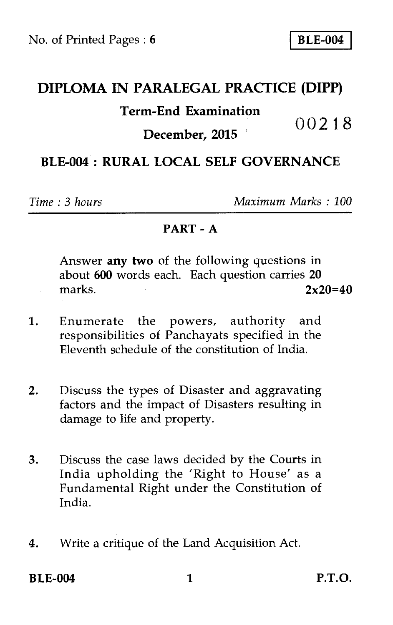# **DIPLOMA IN PARALEGAL PRACTICE (DIPP) Term-End Examination**  00218 **December, 2015**

## **BLE-004 : RURAL LOCAL SELF GOVERNANCE**

*Time : 3 hours Maximum Marks : 100* 

#### **PART - A**

Answer **any two** of the following questions in about **600** words each. Each question carries **20**  marks. **2x20=40** 

- 1. Enumerate the powers, authority and responsibilities of Panchayats specified in the Eleventh schedule of the constitution of India.
- 2. Discuss the types of Disaster and aggravating factors and the impact of Disasters resulting in damage to life and property.
- 3. Discuss the case laws decided by the Courts in India upholding the 'Right to House' as a Fundamental Right under the Constitution of India.
- **4.** Write a critique of the Land Acquisition Act.

**BLE-004** 1 **P.T.O.**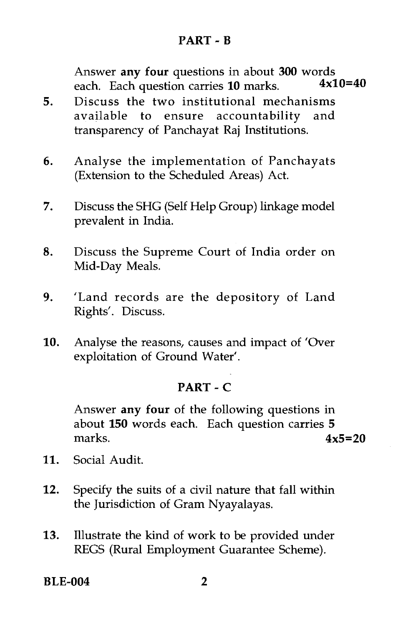### **PART - B**

Answer **any four** questions in about **300** words<br>each. Each question carries **10** marks  $4 \times 10=40$ each. Each question carries 10 marks.

- 5. Discuss the two institutional mechanisms available to ensure accountability and transparency of Panchayat Raj Institutions.
- 6. Analyse the implementation of Panchayats (Extension to the Scheduled Areas) Act.
- 7. Discuss the SHG (Self Help Group) linkage model prevalent in India.
- 8. Discuss the Supreme Court of India order on Mid-Day Meals.
- 9. 'Land records are the depository of Land Rights'. Discuss.
- 10. Analyse the reasons, causes and impact of 'Over exploitation of Ground Water'.

### **PART - C**

Answer **any four** of the following questions in about **150** words each. Each question carries 5 marks. **4x5=20** 

- 11. Social Audit.
- 12. Specify the suits of a civil nature that fall within the Jurisdiction of Gram Nyayalayas.
- 13. Illustrate the kind of work to be provided under REGS (Rural Employment Guarantee Scheme).

**BLE-004 2**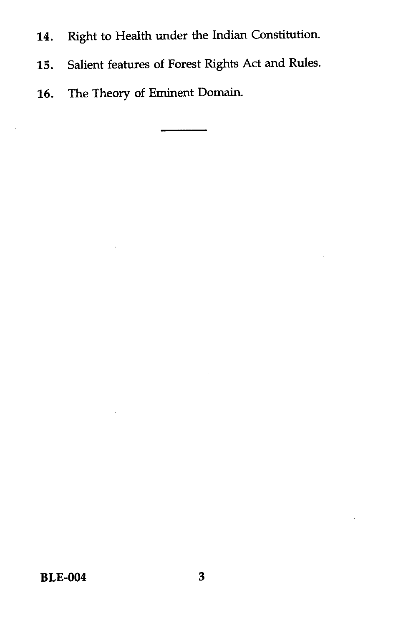- 14. Right to Health under the Indian Constitution.
- 15. Salient features of Forest Rights Act and Rules.
- 16. The Theory of Eminent Domain.

**BLE-004 3**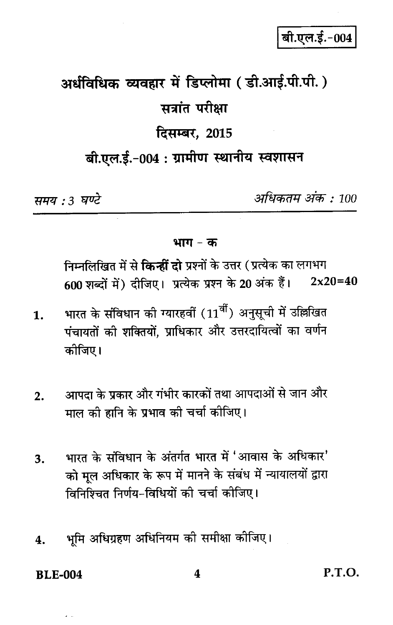# बी.एल.ई.-004

# अर्धविधिक व्यवहार में डिप्लोमा (डी.आई.पी.पी.) सत्रांत परीक्षा दिसम्बर, 2015 बी.एल.ई.-004 : ग्रामीण स्थानीय स्वशासन

समय : 3 घण्टे

अधिकतम् अंक : 100

भाग – क

निम्नलिखित में से **किन्हीं दो** प्रश्नों के उत्तर (प्रत्येक का लगभग 600 शब्दों में) दीजिए। प्रत्येक प्रश्न के 20 अंक हैं।  $2x20=40$ 

- भारत के संविधान की ग्यारहवीं (11<sup>वीं</sup>) अनुसूची में उल्लिखित  $\mathbf{1}$ . पंचायतों की शक्तियों, प्राधिकार और उत्तरदायित्वों का वर्णन कोजिए।
- आपदा के प्रकार और गंभीर कारकों तथा आपदाओं से जान और  $\overline{2}$ . माल की हानि के प्रभाव की चर्चा कोजिए।
- भारत के संविधान के अंतर्गत भारत में 'आवास के अधिकार' 3. को मूल अधिकार के रूप में मानने के संबंध में न्यायालयों द्वारा विनिश्चित निर्णय-विधियों की चर्चा कीजिए।
- भमि अधिग्रहण अधिनियम की समीक्षा कोजिए। 4.

**BLE-004**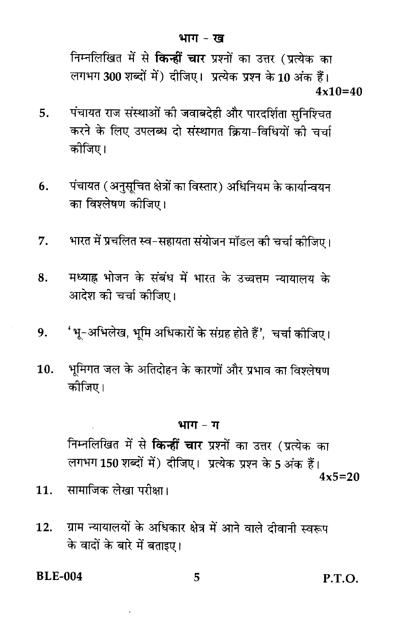निम्नलिखित में से **किन्हीं चार** प्रश्नों का उत्तर (प्रत्येक का लगभग 300 शब्दों में) दीजिए। प्रत्येक प्रश्न के 10 अंक हैं।  $4x10=40$ 

- पंचायत राज संस्थाओं की जवाबदेही और पारदर्शिता सुनिश्चित 5. करने के लिए उपलब्ध दो संस्थागत क्रिया-विधियों की चर्चा कोजिए।
- पंचायत (अनुसूचित क्षेत्रों का विस्तार) अधिनियम के कार्यान्वयन 6. का विश्लेषण कीजिए।
- भारत में प्रचलित स्व-सहायता संयोजन मॉडल की चर्चा कीजिए।  $7<sub>1</sub>$
- मध्याह्न भोजन के संबंध में भारत के उच्चत्तम न्यायालय के 8. आदेश की चर्चा कीजिए।
- 'भू-अभिलेख, भूमि अधिकारों के संग्रह होते हैं', चर्चा कोजिए। 9.
- भूमिगत जल के अतिदोहन के कारणों और प्रभाव का विश्लेषण  $10.$ कोजिए।

#### भाग - ग

निम्नलिखित में से **किन्हीं चार** प्रश्नों का उत्तर (प्रत्येक का लगभग 150 शब्दों में) दीजिए। प्रत्येक प्रश्न के 5 अंक हैं।  $4x5=20$ 

- सामाजिक लेखा परीक्षा।  $11.$
- ग्राम न्यायालयों के अधिकार क्षेत्र में आने वाले दीवानी स्वरूप  $12.$ के वादों के बारे में बताइए।

**BLE-004** 

5